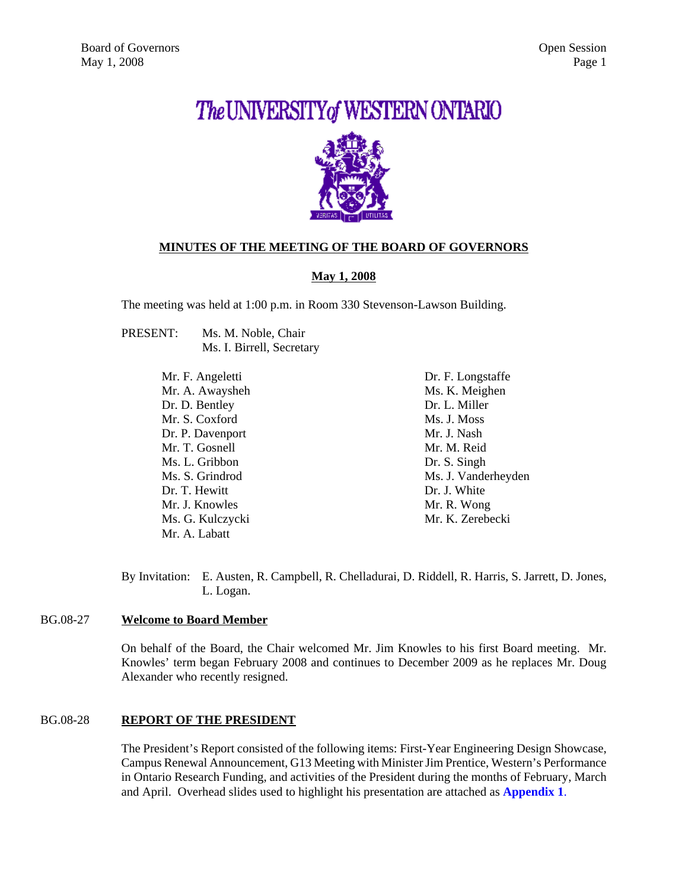# The UNIVERSITY of WESTERN ONTARIO



# **MINUTES OF THE MEETING OF THE BOARD OF GOVERNORS**

# **May 1, 2008**

The meeting was held at 1:00 p.m. in Room 330 Stevenson-Lawson Building.

PRESENT: Ms. M. Noble, Chair Ms. I. Birrell, Secretary

> Mr. F. Angeletti Mr. A. Awaysheh Dr. D. Bentley Mr. S. Coxford Dr. P. Davenport Mr. T. Gosnell Ms. L. Gribbon Ms. S. Grindrod Dr. T. Hewitt Mr. J. Knowles Ms. G. Kulczycki Mr. A. Labatt

Dr. F. Longstaffe Ms. K. Meighen Dr. L. Miller Ms. J. Moss Mr. J. Nash Mr. M. Reid Dr. S. Singh Ms. J. Vanderheyden Dr. J. White Mr. R. Wong Mr. K. Zerebecki

By Invitation: E. Austen, R. Campbell, R. Chelladurai, D. Riddell, R. Harris, S. Jarrett, D. Jones, L. Logan.

# BG.08-27 **Welcome to Board Member**

On behalf of the Board, the Chair welcomed Mr. Jim Knowles to his first Board meeting. Mr. Knowles' term began February 2008 and continues to December 2009 as he replaces Mr. Doug Alexander who recently resigned.

# BG.08-28 **REPORT OF THE PRESIDENT**

The President's Report consisted of the following items: First-Year Engineering Design Showcase, Campus Renewal Announcement, G13 Meeting with Minister Jim Prentice, Western's Performance in Ontario Research Funding, and activities of the President during the months of February, March and April. Overhead slides used to highlight his presentation are attached as **[Appendix 1](#page-6-0)**.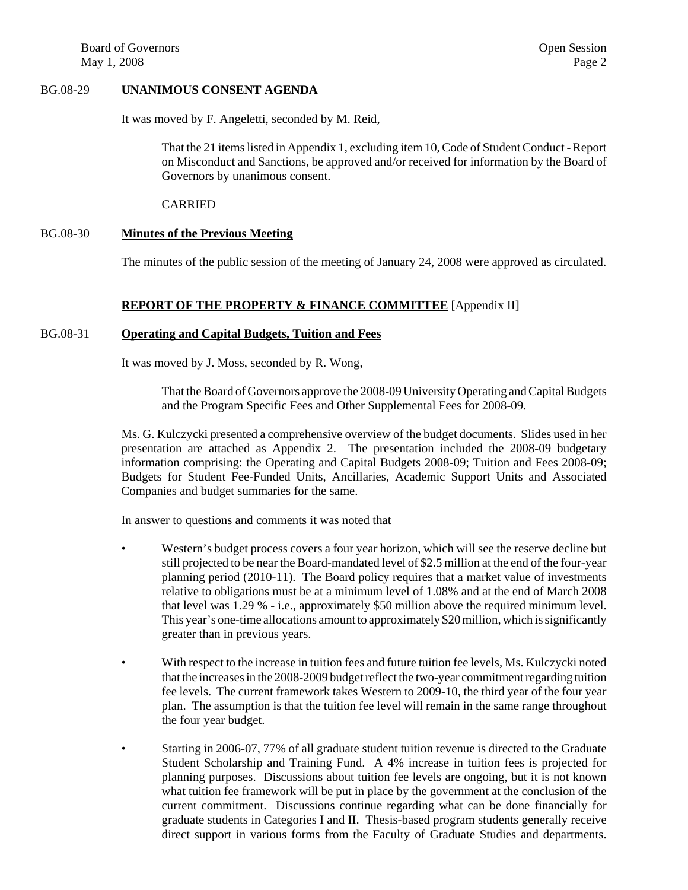#### BG.08-29 **UNANIMOUS CONSENT AGENDA**

It was moved by F. Angeletti, seconded by M. Reid,

That the 21 items listed in Appendix 1, excluding item 10, Code of Student Conduct - Report on Misconduct and Sanctions, be approved and/or received for information by the Board of Governors by unanimous consent.

CARRIED

#### BG.08-30 **Minutes of the Previous Meeting**

The minutes of the public session of the meeting of January 24, 2008 were approved as circulated.

#### **REPORT OF THE PROPERTY & FINANCE COMMITTEE** [Appendix II]

# BG.08-31 **Operating and Capital Budgets, Tuition and Fees**

It was moved by J. Moss, seconded by R. Wong,

That the Board of Governors approve the 2008-09 University Operating and Capital Budgets and the Program Specific Fees and Other Supplemental Fees for 2008-09.

Ms. G. Kulczycki presented a comprehensive overview of the budget documents. Slides used in her presentation are attached as Appendix 2. The presentation included the 2008-09 budgetary information comprising: the Operating and Capital Budgets 2008-09; Tuition and Fees 2008-09; Budgets for Student Fee-Funded Units, Ancillaries, Academic Support Units and Associated Companies and budget summaries for the same.

In answer to questions and comments it was noted that

- Western's budget process covers a four year horizon, which will see the reserve decline but still projected to be near the Board-mandated level of \$2.5 million at the end of the four-year planning period (2010-11). The Board policy requires that a market value of investments relative to obligations must be at a minimum level of 1.08% and at the end of March 2008 that level was 1.29 % - i.e., approximately \$50 million above the required minimum level. This year's one-time allocations amount to approximately \$20 million, which is significantly greater than in previous years.
- With respect to the increase in tuition fees and future tuition fee levels, Ms. Kulczycki noted that the increases in the 2008-2009 budget reflect the two-year commitment regarding tuition fee levels. The current framework takes Western to 2009-10, the third year of the four year plan. The assumption is that the tuition fee level will remain in the same range throughout the four year budget.
- Starting in 2006-07, 77% of all graduate student tuition revenue is directed to the Graduate Student Scholarship and Training Fund. A 4% increase in tuition fees is projected for planning purposes. Discussions about tuition fee levels are ongoing, but it is not known what tuition fee framework will be put in place by the government at the conclusion of the current commitment. Discussions continue regarding what can be done financially for graduate students in Categories I and II. Thesis-based program students generally receive direct support in various forms from the Faculty of Graduate Studies and departments.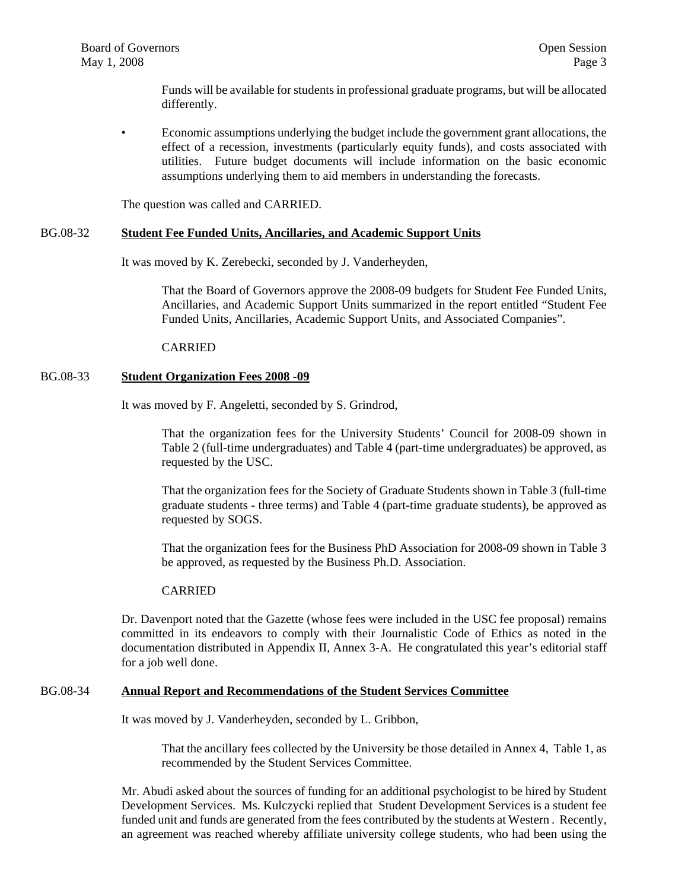Funds will be available for students in professional graduate programs, but will be allocated differently.

• Economic assumptions underlying the budget include the government grant allocations, the effect of a recession, investments (particularly equity funds), and costs associated with utilities. Future budget documents will include information on the basic economic assumptions underlying them to aid members in understanding the forecasts.

The question was called and CARRIED.

#### BG.08-32 **Student Fee Funded Units, Ancillaries, and Academic Support Units**

It was moved by K. Zerebecki, seconded by J. Vanderheyden,

That the Board of Governors approve the 2008-09 budgets for Student Fee Funded Units, Ancillaries, and Academic Support Units summarized in the report entitled "Student Fee Funded Units, Ancillaries, Academic Support Units, and Associated Companies".

#### CARRIED

#### BG.08-33 **Student Organization Fees 2008 -09**

It was moved by F. Angeletti, seconded by S. Grindrod,

That the organization fees for the University Students' Council for 2008-09 shown in Table 2 (full-time undergraduates) and Table 4 (part-time undergraduates) be approved, as requested by the USC.

That the organization fees for the Society of Graduate Students shown in Table 3 (full-time graduate students - three terms) and Table 4 (part-time graduate students), be approved as requested by SOGS.

That the organization fees for the Business PhD Association for 2008-09 shown in Table 3 be approved, as requested by the Business Ph.D. Association.

#### CARRIED

Dr. Davenport noted that the Gazette (whose fees were included in the USC fee proposal) remains committed in its endeavors to comply with their Journalistic Code of Ethics as noted in the documentation distributed in Appendix II, Annex 3-A. He congratulated this year's editorial staff for a job well done.

#### BG.08-34 **Annual Report and Recommendations of the Student Services Committee**

It was moved by J. Vanderheyden, seconded by L. Gribbon,

That the ancillary fees collected by the University be those detailed in Annex 4, Table 1, as recommended by the Student Services Committee.

Mr. Abudi asked about the sources of funding for an additional psychologist to be hired by Student Development Services. Ms. Kulczycki replied that Student Development Services is a student fee funded unit and funds are generated from the fees contributed by the students at Western . Recently, an agreement was reached whereby affiliate university college students, who had been using the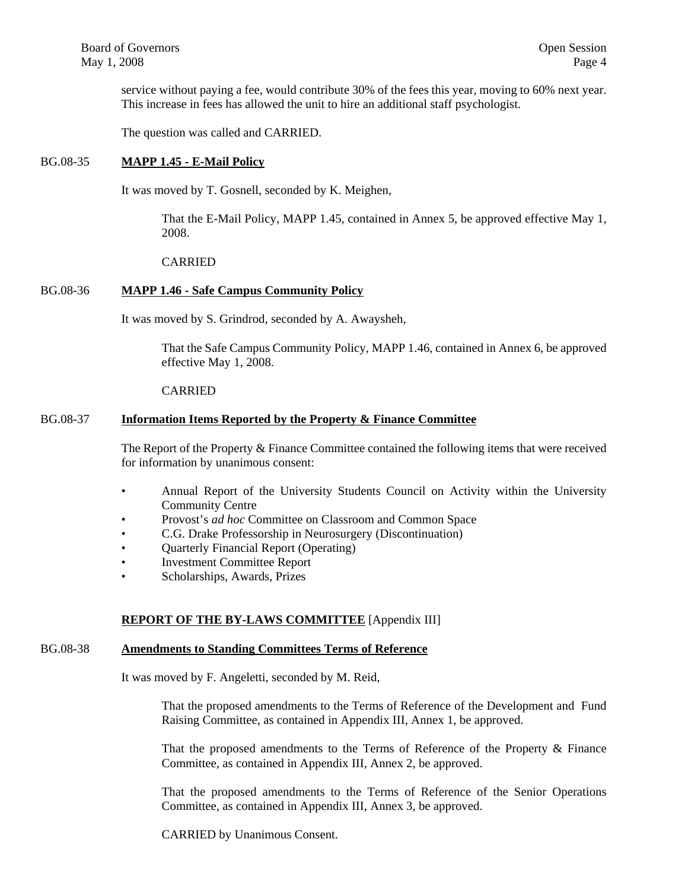service without paying a fee, would contribute 30% of the fees this year, moving to 60% next year. This increase in fees has allowed the unit to hire an additional staff psychologist.

The question was called and CARRIED.

# BG.08-35 **MAPP 1.45 - E-Mail Policy**

It was moved by T. Gosnell, seconded by K. Meighen,

That the E-Mail Policy, MAPP 1.45, contained in Annex 5, be approved effective May 1, 2008.

CARRIED

# BG.08-36 **MAPP 1.46 - Safe Campus Community Policy**

It was moved by S. Grindrod, seconded by A. Awaysheh,

That the Safe Campus Community Policy, MAPP 1.46, contained in Annex 6, be approved effective May 1, 2008.

#### CARRIED

## BG.08-37 **Information Items Reported by the Property & Finance Committee**

The Report of the Property & Finance Committee contained the following items that were received for information by unanimous consent:

- Annual Report of the University Students Council on Activity within the University Community Centre
- Provost's *ad hoc* Committee on Classroom and Common Space
- C.G. Drake Professorship in Neurosurgery (Discontinuation)
- Ouarterly Financial Report (Operating)
- Investment Committee Report
- Scholarships, Awards, Prizes

#### **REPORT OF THE BY-LAWS COMMITTEE** [Appendix III]

# BG.08-38 **Amendments to Standing Committees Terms of Reference**

It was moved by F. Angeletti, seconded by M. Reid,

That the proposed amendments to the Terms of Reference of the Development and Fund Raising Committee, as contained in Appendix III, Annex 1, be approved.

That the proposed amendments to the Terms of Reference of the Property & Finance Committee, as contained in Appendix III, Annex 2, be approved.

That the proposed amendments to the Terms of Reference of the Senior Operations Committee, as contained in Appendix III, Annex 3, be approved.

CARRIED by Unanimous Consent.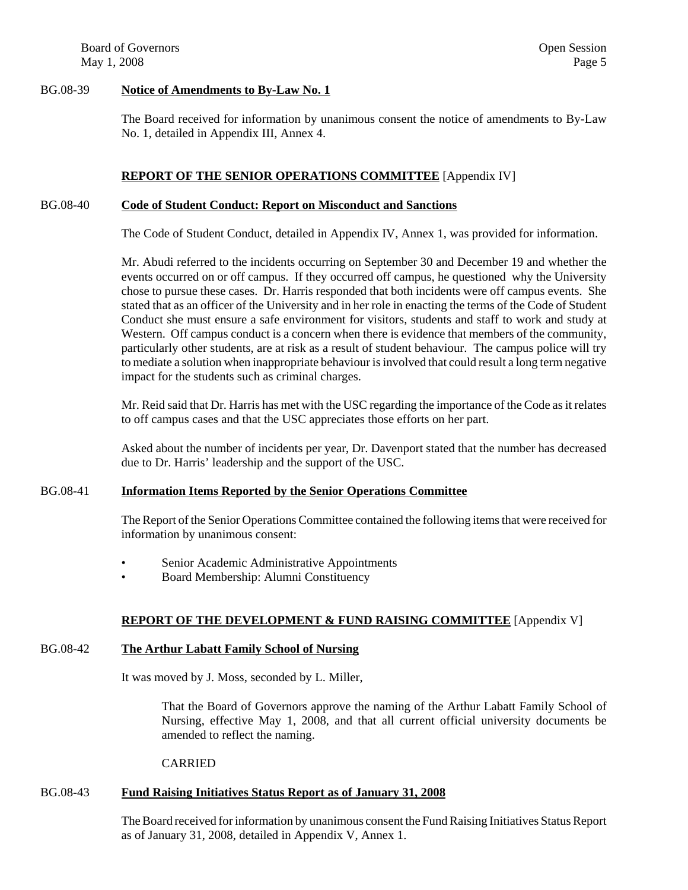Board of Governors **Open Session Open Session** May  $1, 2008$  Page 5

## BG.08-39 **Notice of Amendments to By-Law No. 1**

The Board received for information by unanimous consent the notice of amendments to By-Law No. 1, detailed in Appendix III, Annex 4.

# **REPORT OF THE SENIOR OPERATIONS COMMITTEE** [Appendix IV]

## BG.08-40 **Code of Student Conduct: Report on Misconduct and Sanctions**

The Code of Student Conduct, detailed in Appendix IV, Annex 1, was provided for information.

Mr. Abudi referred to the incidents occurring on September 30 and December 19 and whether the events occurred on or off campus. If they occurred off campus, he questioned why the University chose to pursue these cases. Dr. Harris responded that both incidents were off campus events. She stated that as an officer of the University and in her role in enacting the terms of the Code of Student Conduct she must ensure a safe environment for visitors, students and staff to work and study at Western. Off campus conduct is a concern when there is evidence that members of the community, particularly other students, are at risk as a result of student behaviour. The campus police will try to mediate a solution when inappropriate behaviour is involved that could result a long term negative impact for the students such as criminal charges.

Mr. Reid said that Dr. Harris has met with the USC regarding the importance of the Code as it relates to off campus cases and that the USC appreciates those efforts on her part.

Asked about the number of incidents per year, Dr. Davenport stated that the number has decreased due to Dr. Harris' leadership and the support of the USC.

#### BG.08-41 **Information Items Reported by the Senior Operations Committee**

The Report of the Senior Operations Committee contained the following items that were received for information by unanimous consent:

- Senior Academic Administrative Appointments
- Board Membership: Alumni Constituency

# **REPORT OF THE DEVELOPMENT & FUND RAISING COMMITTEE** [Appendix V]

# BG.08-42 **The Arthur Labatt Family School of Nursing**

It was moved by J. Moss, seconded by L. Miller,

That the Board of Governors approve the naming of the Arthur Labatt Family School of Nursing, effective May 1, 2008, and that all current official university documents be amended to reflect the naming.

#### CARRIED

# BG.08-43 **Fund Raising Initiatives Status Report as of January 31, 2008**

The Board received for information by unanimous consent the Fund Raising Initiatives Status Report as of January 31, 2008, detailed in Appendix V, Annex 1.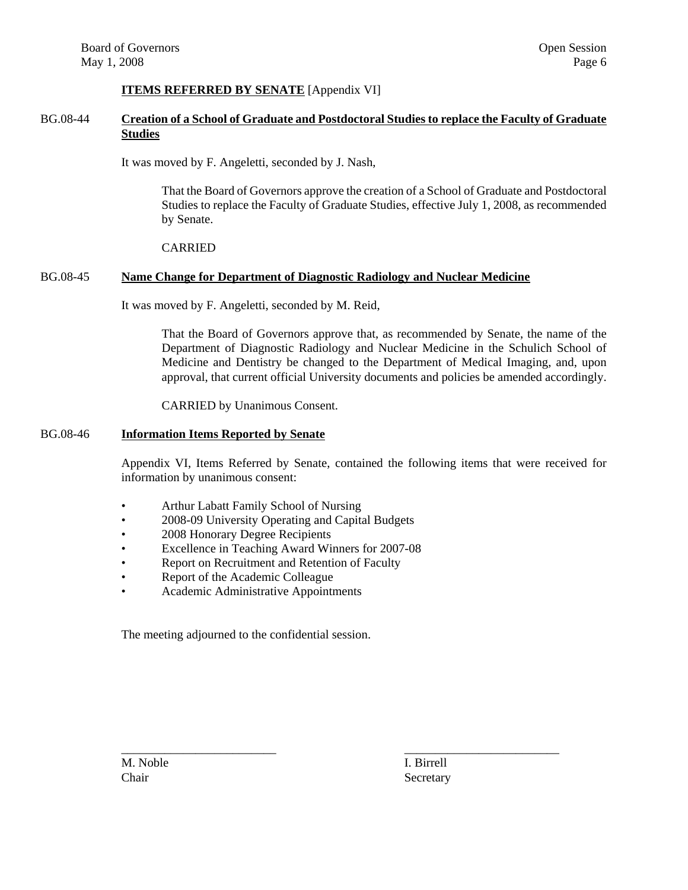# **ITEMS REFERRED BY SENATE** [Appendix VI]

# BG.08-44 **Creation of a School of Graduate and Postdoctoral Studies to replace the Faculty of Graduate Studies**

It was moved by F. Angeletti, seconded by J. Nash,

That the Board of Governors approve the creation of a School of Graduate and Postdoctoral Studies to replace the Faculty of Graduate Studies, effective July 1, 2008, as recommended by Senate.

#### CARRIED

#### BG.08-45 **Name Change for Department of Diagnostic Radiology and Nuclear Medicine**

It was moved by F. Angeletti, seconded by M. Reid,

That the Board of Governors approve that, as recommended by Senate, the name of the Department of Diagnostic Radiology and Nuclear Medicine in the Schulich School of Medicine and Dentistry be changed to the Department of Medical Imaging, and, upon approval, that current official University documents and policies be amended accordingly.

CARRIED by Unanimous Consent.

#### BG.08-46 **Information Items Reported by Senate**

Appendix VI, Items Referred by Senate, contained the following items that were received for information by unanimous consent:

- Arthur Labatt Family School of Nursing
- 2008-09 University Operating and Capital Budgets
- 2008 Honorary Degree Recipients
- Excellence in Teaching Award Winners for 2007-08
- Report on Recruitment and Retention of Faculty
- Report of the Academic Colleague
- Academic Administrative Appointments

The meeting adjourned to the confidential session.

M. Noble I. Birrell

\_\_\_\_\_\_\_\_\_\_\_\_\_\_\_\_\_\_\_\_\_\_\_\_\_ \_\_\_\_\_\_\_\_\_\_\_\_\_\_\_\_\_\_\_\_\_\_\_\_\_ Chair Secretary Secretary